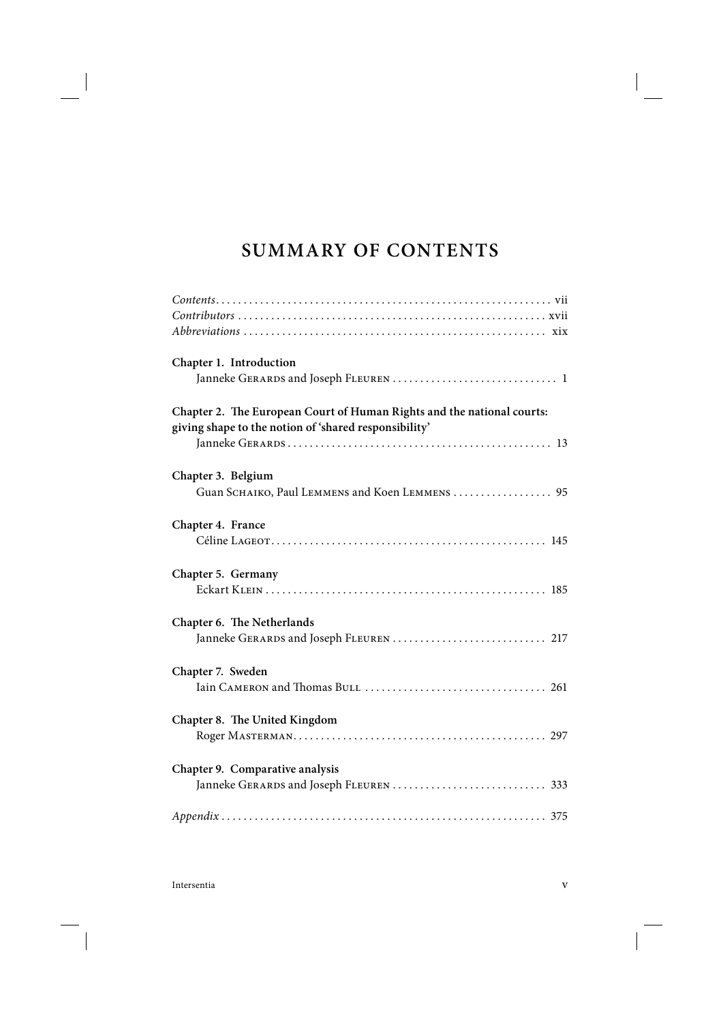## **SUMMARY OF CONTENTS**

| Chapter 1. Introduction                                                                                                         |
|---------------------------------------------------------------------------------------------------------------------------------|
| Chapter 2. The European Court of Human Rights and the national courts:<br>giving shape to the notion of 'shared responsibility' |
| Chapter 3. Belgium<br>Guan SCHAIKO, Paul LEMMENS and Koen LEMMENS  95                                                           |
| Chapter 4. France                                                                                                               |
| Chapter 5. Germany                                                                                                              |
| Chapter 6. The Netherlands<br>Janneke GERARDS and Joseph FLEUREN  217                                                           |
| Chapter 7. Sweden                                                                                                               |
| Chapter 8. The United Kingdom                                                                                                   |
| Chapter 9. Comparative analysis                                                                                                 |
|                                                                                                                                 |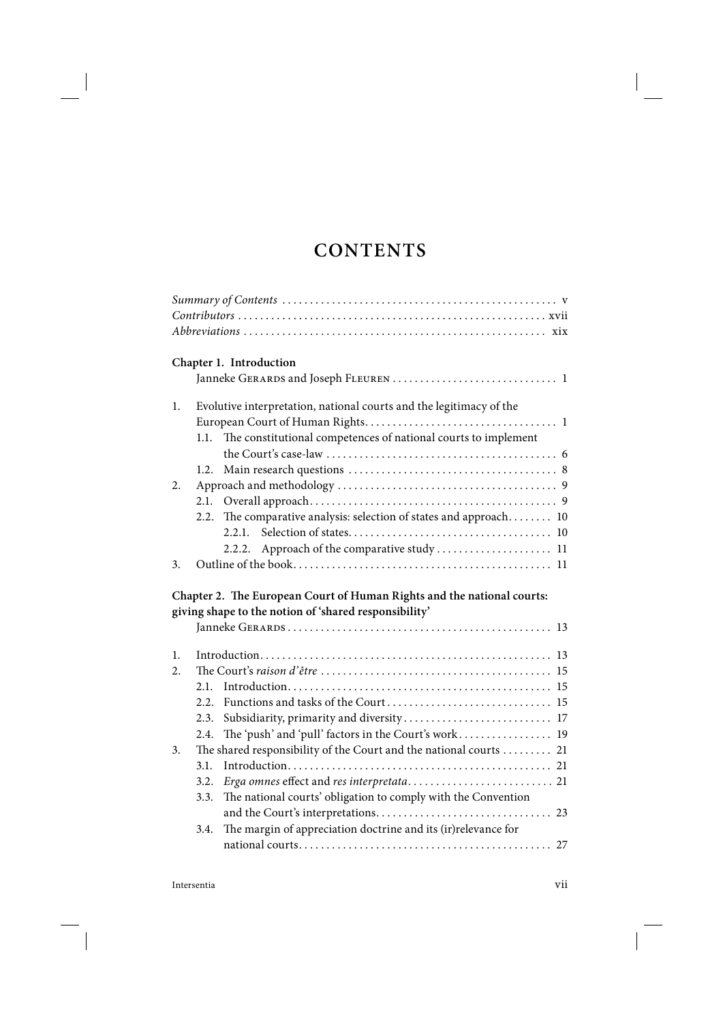## **CONTENTS**

|    | Chapter 1. Introduction                                                   |
|----|---------------------------------------------------------------------------|
|    |                                                                           |
| 1. | Evolutive interpretation, national courts and the legitimacy of the       |
|    |                                                                           |
|    | The constitutional competences of national courts to implement<br>1.1.    |
|    |                                                                           |
|    | 1.2.                                                                      |
| 2. |                                                                           |
|    |                                                                           |
|    | 2.2. The comparative analysis: selection of states and approach 10        |
|    | 2.2.1                                                                     |
|    | 2.2.2.                                                                    |
| 3. |                                                                           |
|    |                                                                           |
|    |                                                                           |
|    | Chapter 2. The European Court of Human Rights and the national courts:    |
|    | giving shape to the notion of 'shared responsibility'                     |
|    |                                                                           |
| 1. |                                                                           |
| 2. |                                                                           |
|    | 2.1                                                                       |
|    | 2.2.                                                                      |
|    | 2.3.                                                                      |
|    | Subsidiarity, primarity and diversity 17<br>2.4.                          |
| 3. | The 'push' and 'pull' factors in the Court's work 19                      |
|    | The shared responsibility of the Court and the national courts 21<br>3.1. |
|    | 3.2.                                                                      |
|    | The national courts' obligation to comply with the Convention<br>3.3.     |
|    |                                                                           |
|    | The margin of appreciation doctrine and its (ir)relevance for<br>3.4.     |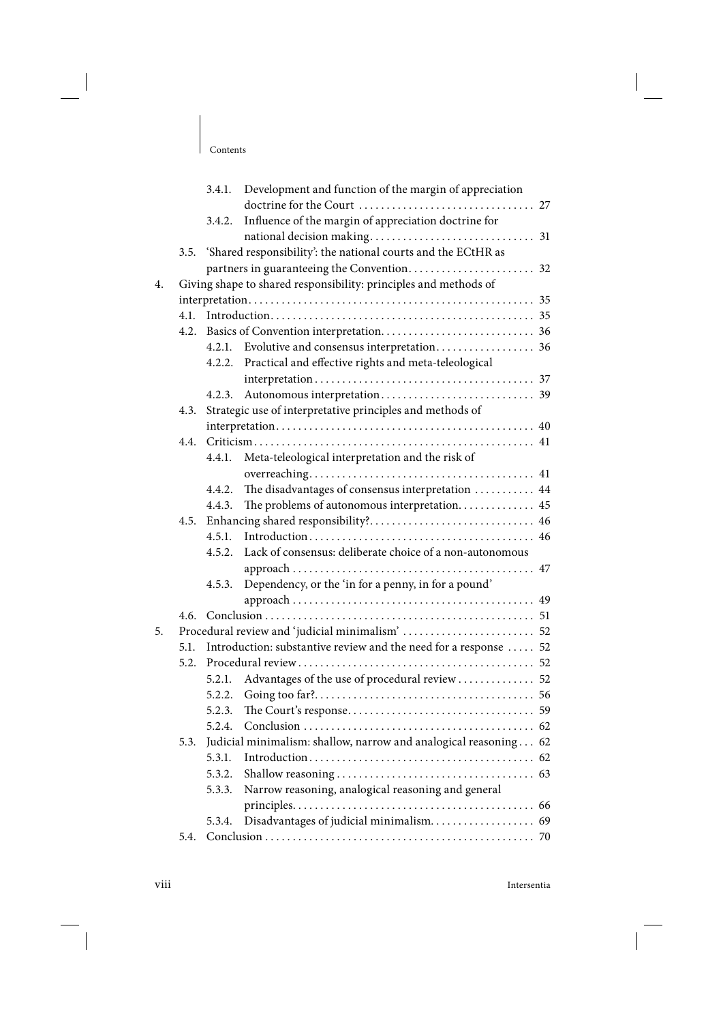|    |      |        | 3.4.1. Development and function of the margin of appreciation      |  |  |  |  |
|----|------|--------|--------------------------------------------------------------------|--|--|--|--|
|    |      |        |                                                                    |  |  |  |  |
|    |      | 3.4.2. | Influence of the margin of appreciation doctrine for               |  |  |  |  |
|    |      |        |                                                                    |  |  |  |  |
|    |      |        | 3.5. 'Shared responsibility': the national courts and the ECtHR as |  |  |  |  |
|    |      |        |                                                                    |  |  |  |  |
| 4. |      |        | Giving shape to shared responsibility: principles and methods of   |  |  |  |  |
|    |      |        |                                                                    |  |  |  |  |
|    | 4.1. |        |                                                                    |  |  |  |  |
|    |      |        |                                                                    |  |  |  |  |
|    |      |        |                                                                    |  |  |  |  |
|    |      |        | 4.2.2. Practical and effective rights and meta-teleological        |  |  |  |  |
|    |      |        |                                                                    |  |  |  |  |
|    |      | 4.2.3. |                                                                    |  |  |  |  |
|    | 4.3. |        | Strategic use of interpretative principles and methods of          |  |  |  |  |
|    |      |        |                                                                    |  |  |  |  |
|    | 4.4. |        |                                                                    |  |  |  |  |
|    |      | 4.4.1. | Meta-teleological interpretation and the risk of                   |  |  |  |  |
|    |      |        |                                                                    |  |  |  |  |
|    |      | 4.4.2. | The disadvantages of consensus interpretation  44                  |  |  |  |  |
|    |      | 4.4.3. | The problems of autonomous interpretation 45                       |  |  |  |  |
|    |      |        |                                                                    |  |  |  |  |
|    |      | 4.5.1. |                                                                    |  |  |  |  |
|    |      | 4.5.2. | Lack of consensus: deliberate choice of a non-autonomous           |  |  |  |  |
|    |      |        |                                                                    |  |  |  |  |
|    |      | 4.5.3. | Dependency, or the 'in for a penny, in for a pound'                |  |  |  |  |
|    |      |        |                                                                    |  |  |  |  |
|    | 4.6. |        |                                                                    |  |  |  |  |
| 5. |      |        |                                                                    |  |  |  |  |
|    | 5.1. |        | Introduction: substantive review and the need for a response  52   |  |  |  |  |
|    |      |        |                                                                    |  |  |  |  |
|    |      | 5.2.1. | Advantages of the use of procedural review  52                     |  |  |  |  |
|    |      | 5.2.2. |                                                                    |  |  |  |  |
|    |      | 5.2.3. |                                                                    |  |  |  |  |
|    |      |        | 5.2.4 Conclusion 62                                                |  |  |  |  |
|    | 5.3. |        | Judicial minimalism: shallow, narrow and analogical reasoning 62   |  |  |  |  |
|    |      | 5.3.1. |                                                                    |  |  |  |  |
|    |      | 5.3.2. |                                                                    |  |  |  |  |
|    |      | 5.3.3. | Narrow reasoning, analogical reasoning and general                 |  |  |  |  |
|    |      |        |                                                                    |  |  |  |  |
|    |      | 5.3.4. |                                                                    |  |  |  |  |
|    | 5.4. |        |                                                                    |  |  |  |  |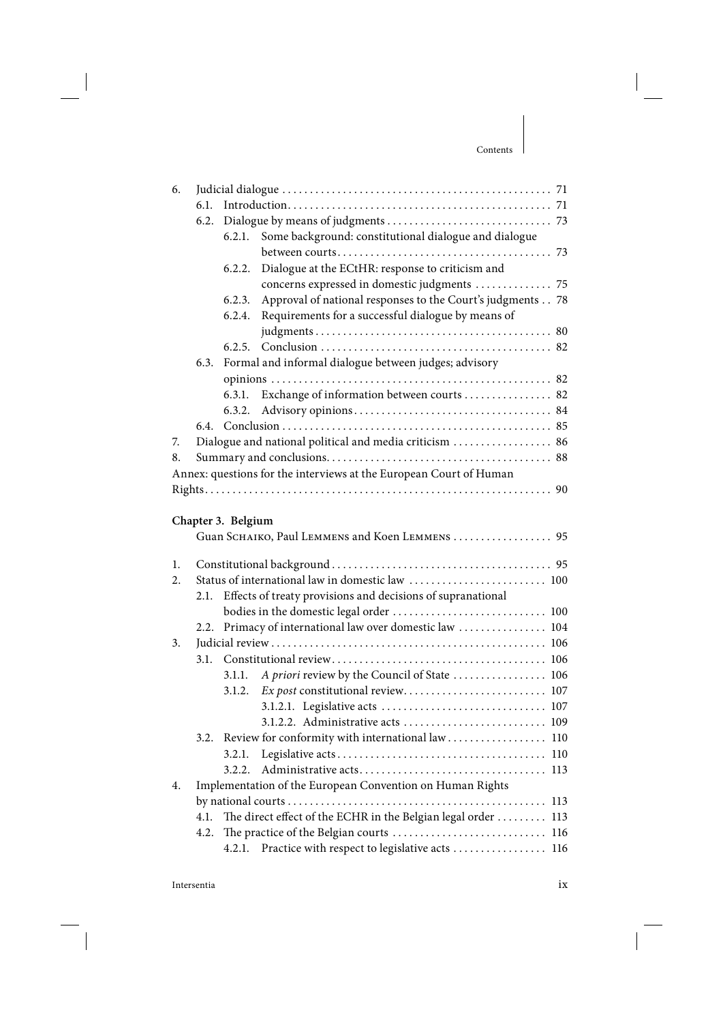| 6. |      |                    |                                                                    |     |
|----|------|--------------------|--------------------------------------------------------------------|-----|
|    |      |                    |                                                                    |     |
|    | 6.2. |                    |                                                                    |     |
|    |      | 6.2.1.             | Some background: constitutional dialogue and dialogue              |     |
|    |      |                    |                                                                    |     |
|    |      | 6.2.2.             | Dialogue at the ECtHR: response to criticism and                   |     |
|    |      |                    | concerns expressed in domestic judgments  75                       |     |
|    |      | 6.2.3.             | Approval of national responses to the Court's judgments 78         |     |
|    |      | 6.2.4.             | Requirements for a successful dialogue by means of                 |     |
|    |      |                    |                                                                    |     |
|    |      | 6.2.5.             |                                                                    |     |
|    | 6.3. |                    | Formal and informal dialogue between judges; advisory              |     |
|    |      |                    |                                                                    |     |
|    |      | 6.3.1.             | Exchange of information between courts  82                         |     |
|    |      | 6.3.2.             |                                                                    |     |
|    | 6.4. |                    |                                                                    |     |
| 7. |      |                    | Dialogue and national political and media criticism  86            |     |
| 8. |      |                    |                                                                    |     |
|    |      |                    | Annex: questions for the interviews at the European Court of Human |     |
|    |      |                    |                                                                    |     |
|    |      |                    |                                                                    |     |
|    |      | Chapter 3. Belgium |                                                                    |     |
|    |      |                    | Guan SCHAIKO, Paul LEMMENS and Koen LEMMENS  95                    |     |
| 1. |      |                    |                                                                    |     |
| 2. |      |                    | Status of international law in domestic law  100                   |     |
|    |      |                    |                                                                    |     |
|    | 2.1. |                    | Effects of treaty provisions and decisions of supranational        |     |
|    | 2.2. |                    | Primacy of international law over domestic law  104                |     |
| 3. |      |                    |                                                                    |     |
|    |      |                    |                                                                    |     |
|    |      |                    |                                                                    |     |
|    |      | 3.1.1.             | A priori review by the Council of State  106                       |     |
|    |      | 3.1.2.             |                                                                    |     |
|    |      |                    |                                                                    |     |
|    |      |                    | 3.1.2.2. Administrative acts  109                                  |     |
|    |      |                    | 3.2. Review for conformity with international law 110              |     |
|    |      | 3.2.1.             |                                                                    | 110 |
|    |      | 3.2.2.             |                                                                    | 113 |
| 4. |      |                    | Implementation of the European Convention on Human Rights          |     |
|    |      |                    |                                                                    | 113 |
|    | 4.1. |                    | The direct effect of the ECHR in the Belgian legal order  113      |     |
|    | 4.2. |                    | 116                                                                |     |
|    |      | 4.2.1.             | Practice with respect to legislative acts  116                     |     |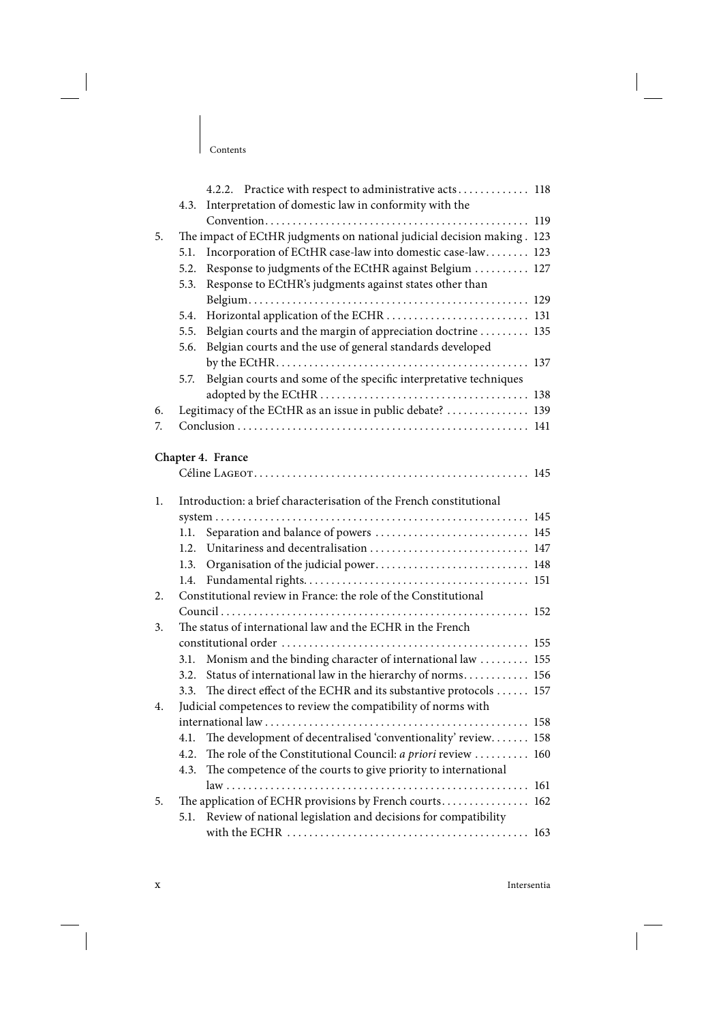|    |      | 4.2.2. Practice with respect to administrative acts 118                 |  |
|----|------|-------------------------------------------------------------------------|--|
|    | 4.3. | Interpretation of domestic law in conformity with the                   |  |
|    |      |                                                                         |  |
| 5. |      | The impact of ECtHR judgments on national judicial decision making. 123 |  |
|    | 5.1. | Incorporation of ECtHR case-law into domestic case-law 123              |  |
|    | 5.2. | Response to judgments of the ECtHR against Belgium  127                 |  |
|    | 5.3. | Response to ECtHR's judgments against states other than                 |  |
|    |      |                                                                         |  |
|    | 5.4. |                                                                         |  |
|    | 5.5. | Belgian courts and the margin of appreciation doctrine  135             |  |
|    | 5.6. | Belgian courts and the use of general standards developed               |  |
|    |      |                                                                         |  |
|    | 5.7. | Belgian courts and some of the specific interpretative techniques       |  |
|    |      |                                                                         |  |
| 6. |      | Legitimacy of the ECtHR as an issue in public debate?  139              |  |
| 7. |      |                                                                         |  |
|    |      |                                                                         |  |
|    |      | Chapter 4. France                                                       |  |
|    |      |                                                                         |  |
| 1. |      | Introduction: a brief characterisation of the French constitutional     |  |
|    |      |                                                                         |  |
|    | 1.1. | Separation and balance of powers  145                                   |  |
|    | 1.2. | Unitariness and decentralisation  147                                   |  |
|    | 1.3. | Organisation of the judicial power 148                                  |  |
|    | 1.4. |                                                                         |  |
| 2. |      | Constitutional review in France: the role of the Constitutional         |  |
|    |      |                                                                         |  |
| 3. |      | The status of international law and the ECHR in the French              |  |
|    |      |                                                                         |  |
|    | 3.1. | Monism and the binding character of international law  155              |  |
|    | 3.2. | Status of international law in the hierarchy of norms 156               |  |
|    | 3.3. | The direct effect of the ECHR and its substantive protocols  157        |  |
| 4. |      | Judicial competences to review the compatibility of norms with          |  |
|    |      |                                                                         |  |
|    | 4.1. | The development of decentralised 'conventionality' review 158           |  |
|    | 4.2. | The role of the Constitutional Council: a priori review  160            |  |
|    | 4.3. | The competence of the courts to give priority to international          |  |
|    |      |                                                                         |  |
| 5. |      | The application of ECHR provisions by French courts 162                 |  |
|    | 5.1. | Review of national legislation and decisions for compatibility          |  |
|    |      |                                                                         |  |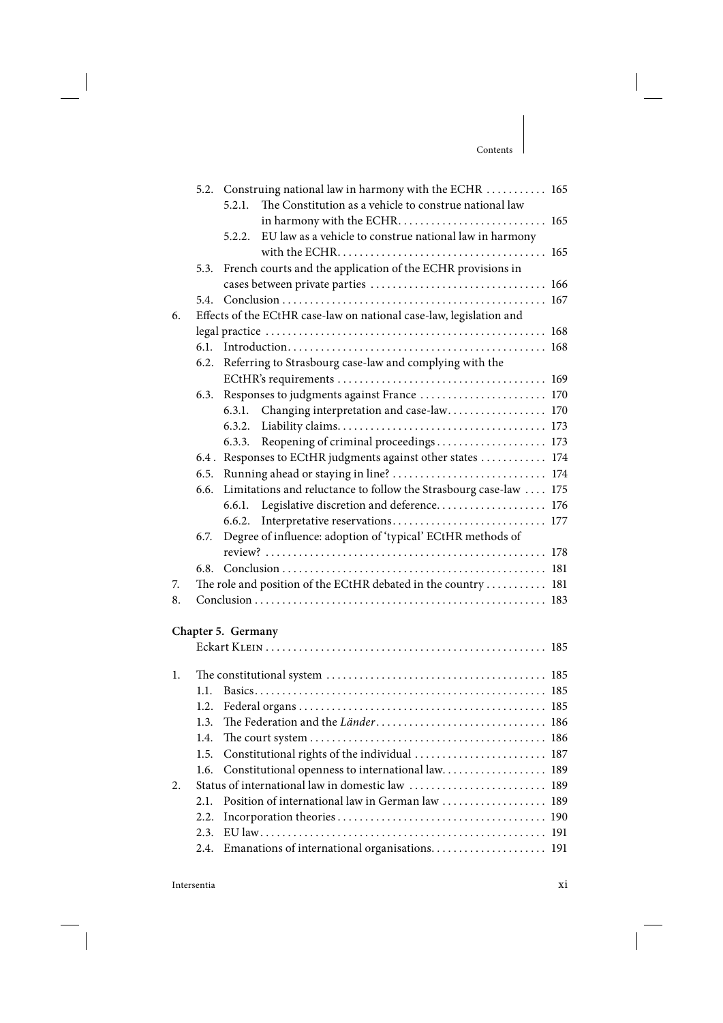|    |         | 5.2. Construing national law in harmony with the ECHR  165          |  |
|----|---------|---------------------------------------------------------------------|--|
|    |         | The Constitution as a vehicle to construe national law<br>5.2.1.    |  |
|    |         |                                                                     |  |
|    |         | EU law as a vehicle to construe national law in harmony<br>5.2.2.   |  |
|    |         |                                                                     |  |
|    | 5.3.    | French courts and the application of the ECHR provisions in         |  |
|    |         |                                                                     |  |
|    | 5.4.    |                                                                     |  |
| 6. |         | Effects of the ECtHR case-law on national case-law, legislation and |  |
|    |         |                                                                     |  |
|    | 6.1     |                                                                     |  |
|    | 6.2.    | Referring to Strasbourg case-law and complying with the             |  |
|    |         |                                                                     |  |
|    | 6.3.    | Responses to judgments against France  170                          |  |
|    |         | Changing interpretation and case-law 170<br>6.3.1.                  |  |
|    |         | 6.3.2.                                                              |  |
|    |         | Reopening of criminal proceedings 173<br>6.3.3.                     |  |
|    | $6.4$ . | Responses to ECtHR judgments against other states  174              |  |
|    | 6.5.    |                                                                     |  |
|    | 6.6.    | Limitations and reluctance to follow the Strasbourg case-law  175   |  |
|    |         | Legislative discretion and deference 176<br>6.6.1.                  |  |
|    |         | 6.6.2.                                                              |  |
|    | 6.7.    | Degree of influence: adoption of 'typical' ECtHR methods of         |  |
|    |         |                                                                     |  |
|    | 6.8.    |                                                                     |  |
| 7. |         | The role and position of the ECtHR debated in the country 181       |  |
| 8. |         |                                                                     |  |
|    |         |                                                                     |  |
|    |         | Chapter 5. Germany                                                  |  |
|    |         |                                                                     |  |
| 1. |         |                                                                     |  |
|    | 1.1.    |                                                                     |  |
|    | 1.2.    |                                                                     |  |
|    | 1.3.    |                                                                     |  |
|    | 1.4.    |                                                                     |  |
|    | 1.5.    | Constitutional rights of the individual<br>187                      |  |
|    | 1.6.    | Constitutional openness to international law<br>189                 |  |
| 2. |         | Status of international law in domestic law<br>189                  |  |
|    | 2.1.    | Position of international law in German law<br>189                  |  |
|    | 2.2.    |                                                                     |  |
|    | 2.3.    | 191                                                                 |  |
|    | 2.4.    | Emanations of international organisations 191                       |  |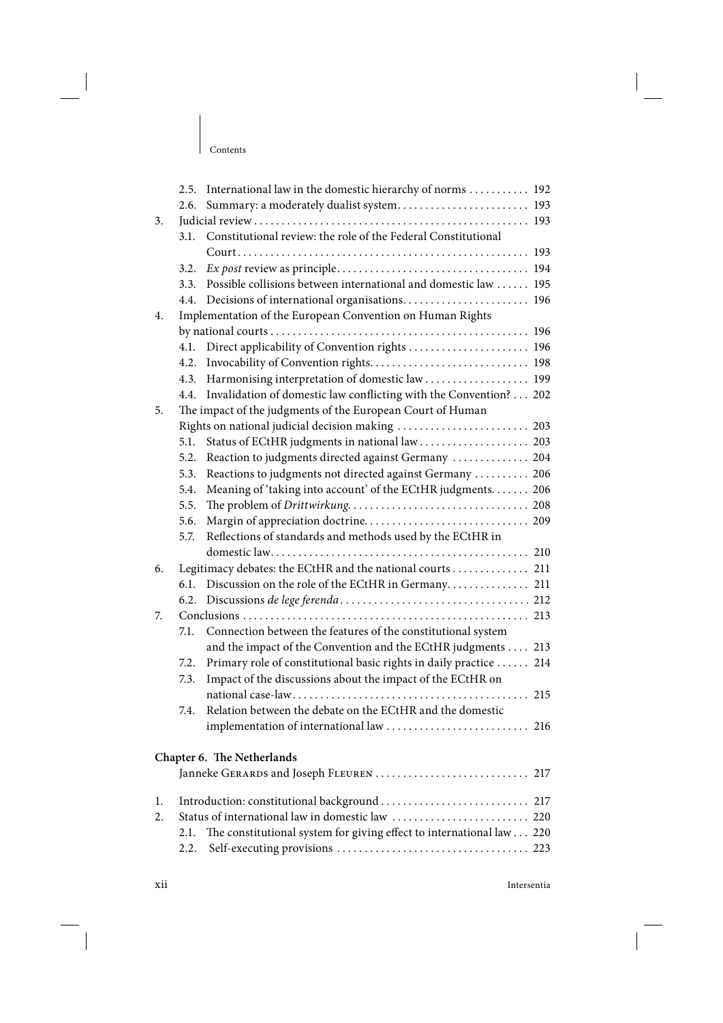|    | 2.5. | International law in the domestic hierarchy of norms  192            |  |
|----|------|----------------------------------------------------------------------|--|
|    | 2.6. | Summary: a moderately dualist system 193                             |  |
| 3. |      |                                                                      |  |
|    | 3.1. | Constitutional review: the role of the Federal Constitutional        |  |
|    |      |                                                                      |  |
|    | 3.2. |                                                                      |  |
|    | 3.3. | Possible collisions between international and domestic law  195      |  |
|    |      |                                                                      |  |
| 4. |      | Implementation of the European Convention on Human Rights            |  |
|    |      |                                                                      |  |
|    |      | 4.1. Direct applicability of Convention rights  196                  |  |
|    |      |                                                                      |  |
|    | 4.3. | Harmonising interpretation of domestic law  199                      |  |
|    | 4.4. | Invalidation of domestic law conflicting with the Convention? 202    |  |
| 5. |      | The impact of the judgments of the European Court of Human           |  |
|    |      | Rights on national judicial decision making  203                     |  |
|    | 5.1. | Status of ECtHR judgments in national law  203                       |  |
|    | 5.2. | Reaction to judgments directed against Germany  204                  |  |
|    | 5.3. | Reactions to judgments not directed against Germany  206             |  |
|    | 5.4. | Meaning of 'taking into account' of the ECtHR judgments. 206         |  |
|    | 5.5. |                                                                      |  |
|    | 5.6. |                                                                      |  |
|    | 5.7. | Reflections of standards and methods used by the ECtHR in            |  |
|    |      |                                                                      |  |
| 6. |      | Legitimacy debates: the ECtHR and the national courts  211           |  |
|    | 6.1. | Discussion on the role of the ECtHR in Germany 211                   |  |
|    | 6.2. |                                                                      |  |
| 7. |      |                                                                      |  |
|    | 7.1. | Connection between the features of the constitutional system         |  |
|    |      | and the impact of the Convention and the ECtHR judgments  213        |  |
|    | 7.2. | Primary role of constitutional basic rights in daily practice  214   |  |
|    | 7.3. | Impact of the discussions about the impact of the ECtHR on           |  |
|    |      |                                                                      |  |
|    | 7.4. | Relation between the debate on the ECtHR and the domestic            |  |
|    |      |                                                                      |  |
|    |      |                                                                      |  |
|    |      | Chapter 6. The Netherlands                                           |  |
|    |      | Janneke GERARDS and Joseph FLEUREN  217                              |  |
| 1. |      | Introduction: constitutional background  217                         |  |
| 2. |      |                                                                      |  |
|    | 2.1. | The constitutional system for giving effect to international law 220 |  |
|    |      |                                                                      |  |
|    | 2.2. |                                                                      |  |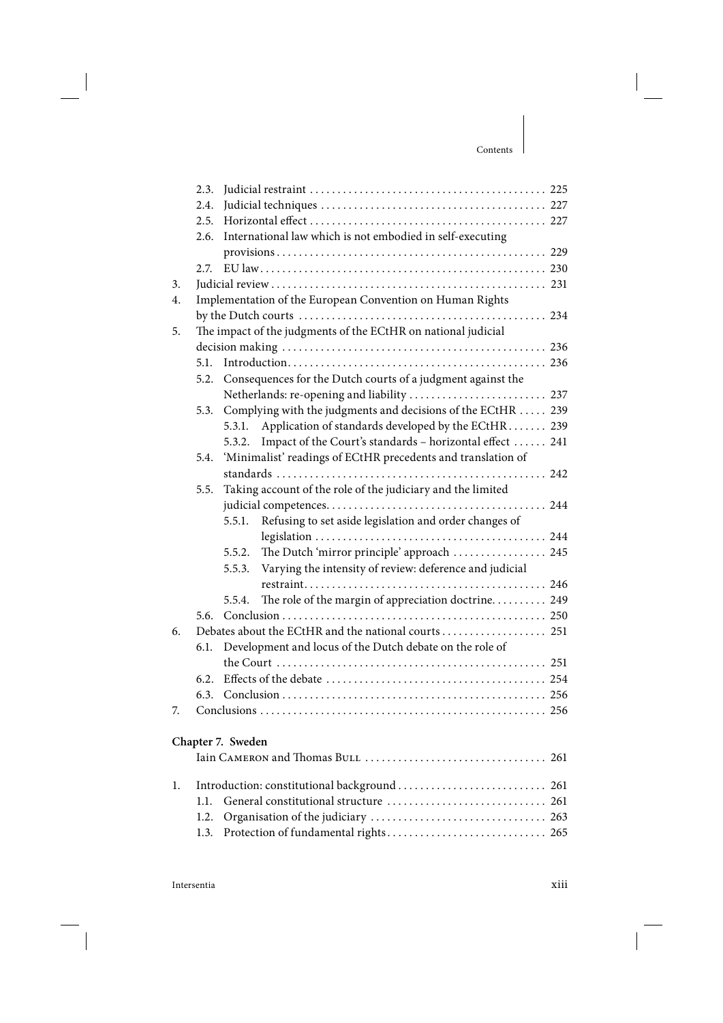|    | 2.3.                                                          |                   |                                                              |  |
|----|---------------------------------------------------------------|-------------------|--------------------------------------------------------------|--|
|    | 2.4.                                                          |                   |                                                              |  |
|    | 2.5.                                                          |                   |                                                              |  |
|    | 2.6.                                                          |                   | International law which is not embodied in self-executing    |  |
|    |                                                               |                   |                                                              |  |
|    | 2.7.                                                          |                   |                                                              |  |
| 3. |                                                               |                   |                                                              |  |
| 4. |                                                               |                   | Implementation of the European Convention on Human Rights    |  |
|    |                                                               |                   |                                                              |  |
| 5. | The impact of the judgments of the ECtHR on national judicial |                   |                                                              |  |
|    |                                                               |                   |                                                              |  |
|    | 5.1.                                                          |                   |                                                              |  |
|    | 5.2.                                                          |                   | Consequences for the Dutch courts of a judgment against the  |  |
|    |                                                               |                   | Netherlands: re-opening and liability  237                   |  |
|    | 5.3.                                                          |                   | Complying with the judgments and decisions of the ECtHR  239 |  |
|    |                                                               | 5.3.1.            | Application of standards developed by the ECtHR 239          |  |
|    |                                                               | 5.3.2.            | Impact of the Court's standards - horizontal effect  241     |  |
|    | 5.4.                                                          |                   | 'Minimalist' readings of ECtHR precedents and translation of |  |
|    |                                                               |                   |                                                              |  |
|    | 5.5.                                                          |                   | Taking account of the role of the judiciary and the limited  |  |
|    |                                                               |                   |                                                              |  |
|    |                                                               | 5.5.1.            | Refusing to set aside legislation and order changes of       |  |
|    |                                                               |                   |                                                              |  |
|    |                                                               | 5.5.2.            | The Dutch 'mirror principle' approach  245                   |  |
|    |                                                               | 5.5.3.            | Varying the intensity of review: deference and judicial      |  |
|    |                                                               |                   |                                                              |  |
|    |                                                               | 5.5.4.            | The role of the margin of appreciation doctrine 249          |  |
|    | 5.6.                                                          |                   |                                                              |  |
| 6. |                                                               |                   | Debates about the ECtHR and the national courts  251         |  |
|    | 6.1.                                                          |                   | Development and locus of the Dutch debate on the role of     |  |
|    |                                                               |                   |                                                              |  |
|    | 6.2.                                                          |                   |                                                              |  |
|    | 6.3.                                                          |                   |                                                              |  |
| 7. |                                                               |                   |                                                              |  |
|    |                                                               |                   |                                                              |  |
|    |                                                               | Chapter 7. Sweden |                                                              |  |
|    |                                                               |                   |                                                              |  |
| 1. |                                                               |                   | Introduction: constitutional background  261                 |  |
|    | 1.1.                                                          |                   |                                                              |  |
|    | 1.2.                                                          |                   |                                                              |  |
|    | 1.3.                                                          |                   |                                                              |  |
|    |                                                               |                   |                                                              |  |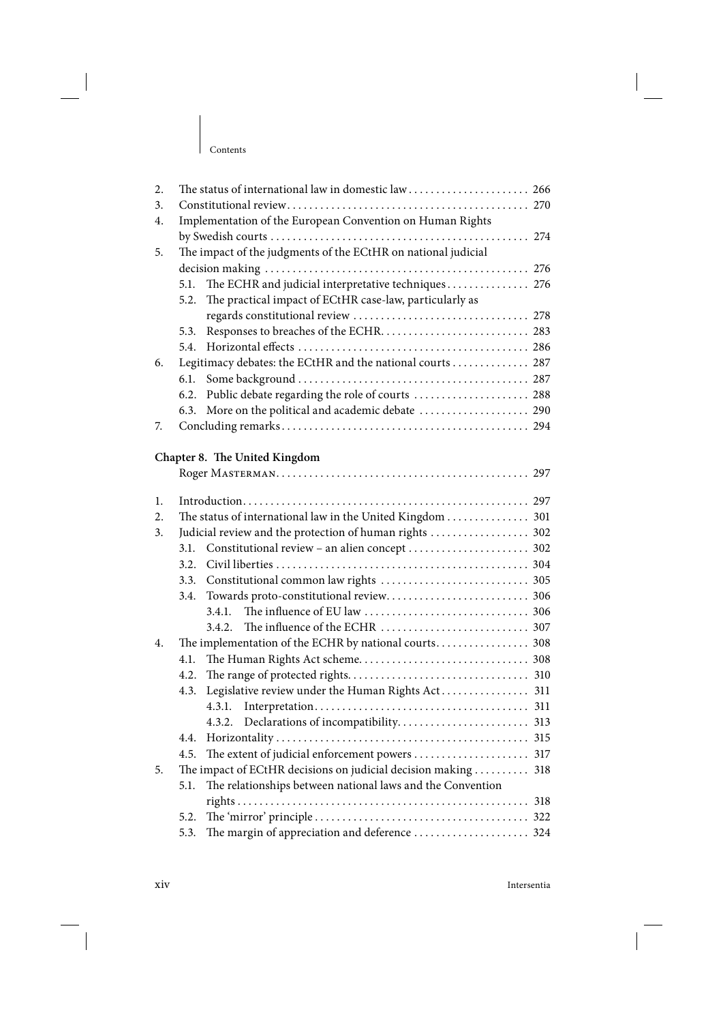| 2. |                                                           |                                                                |  |  |  |  |
|----|-----------------------------------------------------------|----------------------------------------------------------------|--|--|--|--|
| 3. |                                                           |                                                                |  |  |  |  |
| 4. | Implementation of the European Convention on Human Rights |                                                                |  |  |  |  |
|    |                                                           |                                                                |  |  |  |  |
| 5. |                                                           | The impact of the judgments of the ECtHR on national judicial  |  |  |  |  |
|    |                                                           |                                                                |  |  |  |  |
|    | 5.1.                                                      | The ECHR and judicial interpretative techniques 276            |  |  |  |  |
|    | 5.2.                                                      | The practical impact of ECtHR case-law, particularly as        |  |  |  |  |
|    |                                                           |                                                                |  |  |  |  |
|    | 5.3.                                                      |                                                                |  |  |  |  |
|    | 5.4.                                                      |                                                                |  |  |  |  |
| 6. |                                                           | Legitimacy debates: the ECtHR and the national courts 287      |  |  |  |  |
|    | 6.1.                                                      |                                                                |  |  |  |  |
|    | 6.2.                                                      | Public debate regarding the role of courts  288                |  |  |  |  |
|    | 6.3.                                                      | More on the political and academic debate  290                 |  |  |  |  |
| 7. |                                                           |                                                                |  |  |  |  |
|    |                                                           |                                                                |  |  |  |  |
|    |                                                           | Chapter 8. The United Kingdom                                  |  |  |  |  |
|    |                                                           |                                                                |  |  |  |  |
| 1. |                                                           |                                                                |  |  |  |  |
| 2. |                                                           | The status of international law in the United Kingdom 301      |  |  |  |  |
| 3. | Judicial review and the protection of human rights  302   |                                                                |  |  |  |  |
|    | 3.1.                                                      |                                                                |  |  |  |  |
|    | 3.2.                                                      |                                                                |  |  |  |  |
|    | 3.3.                                                      |                                                                |  |  |  |  |
|    | 3.4.                                                      |                                                                |  |  |  |  |
|    |                                                           | 3.4.1.                                                         |  |  |  |  |
|    |                                                           | 3.4.2.                                                         |  |  |  |  |
| 4. |                                                           |                                                                |  |  |  |  |
|    | 4.1.                                                      |                                                                |  |  |  |  |
|    | 4.2.                                                      |                                                                |  |  |  |  |
|    | 4.3.                                                      | Legislative review under the Human Rights Act 311              |  |  |  |  |
|    |                                                           |                                                                |  |  |  |  |
|    |                                                           |                                                                |  |  |  |  |
|    |                                                           |                                                                |  |  |  |  |
|    | 4.4.                                                      |                                                                |  |  |  |  |
|    | 4.5.                                                      |                                                                |  |  |  |  |
| 5. |                                                           | The impact of ECtHR decisions on judicial decision making  318 |  |  |  |  |
|    | 5.1.                                                      | The relationships between national laws and the Convention     |  |  |  |  |
|    |                                                           |                                                                |  |  |  |  |
|    | 5.2.                                                      |                                                                |  |  |  |  |
|    | 5.3.                                                      | The margin of appreciation and deference  324                  |  |  |  |  |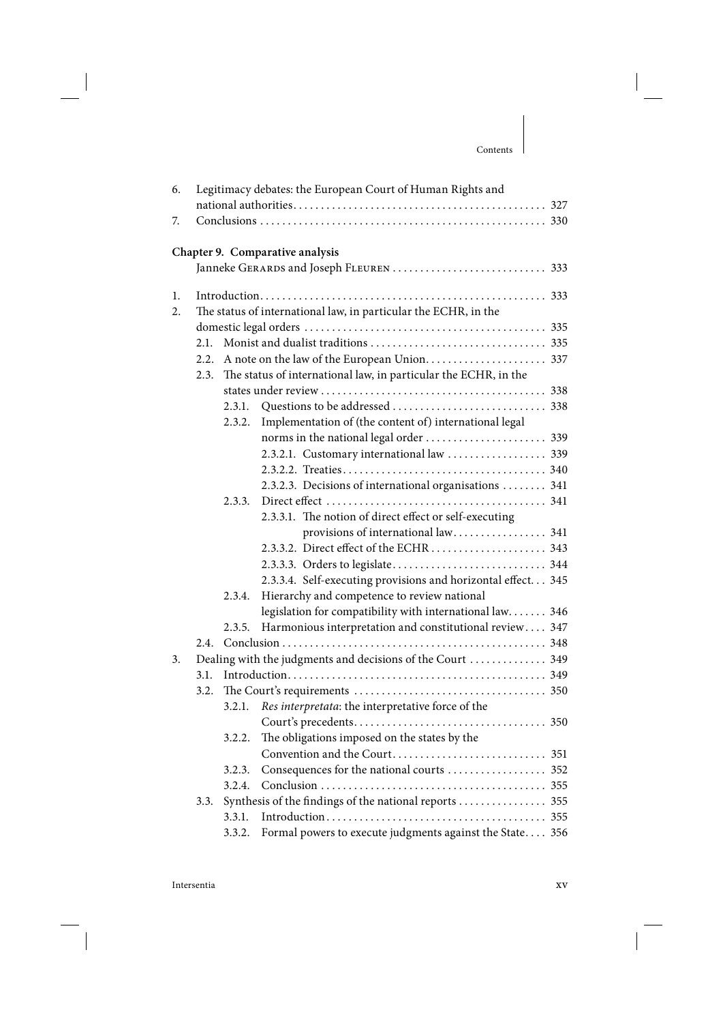## Contents

| 6. |      |        | Legitimacy debates: the European Court of Human Rights and      |  |
|----|------|--------|-----------------------------------------------------------------|--|
|    |      |        |                                                                 |  |
| 7. |      |        |                                                                 |  |
|    |      |        | Chapter 9. Comparative analysis                                 |  |
|    |      |        |                                                                 |  |
|    |      |        |                                                                 |  |
| 1. |      |        |                                                                 |  |
| 2. |      |        | The status of international law, in particular the ECHR, in the |  |
|    |      |        |                                                                 |  |
|    | 2.1. |        |                                                                 |  |
|    |      |        |                                                                 |  |
|    | 2.3. |        | The status of international law, in particular the ECHR, in the |  |
|    |      |        |                                                                 |  |
|    |      | 2.3.1. |                                                                 |  |
|    |      | 2.3.2. | Implementation of (the content of) international legal          |  |
|    |      |        |                                                                 |  |
|    |      |        | 2.3.2.1. Customary international law  339                       |  |
|    |      |        |                                                                 |  |
|    |      |        | 2.3.2.3. Decisions of international organisations  341          |  |
|    |      | 2.3.3. |                                                                 |  |
|    |      |        | 2.3.3.1. The notion of direct effect or self-executing          |  |
|    |      |        | provisions of international law 341                             |  |
|    |      |        |                                                                 |  |
|    |      |        |                                                                 |  |
|    |      |        | 2.3.3.4. Self-executing provisions and horizontal effect 345    |  |
|    |      | 2.3.4. | Hierarchy and competence to review national                     |  |
|    |      |        | legislation for compatibility with international law 346        |  |
|    |      | 2.3.5. | Harmonious interpretation and constitutional review 347         |  |
|    |      |        |                                                                 |  |
| 3. |      |        | Dealing with the judgments and decisions of the Court  349      |  |
|    | 3.1. |        |                                                                 |  |
|    | 3.2. |        |                                                                 |  |
|    |      | 3.2.1. | Res interpretata: the interpretative force of the               |  |
|    |      |        |                                                                 |  |
|    |      | 3.2.2. | The obligations imposed on the states by the                    |  |
|    |      |        |                                                                 |  |
|    |      | 3.2.3. |                                                                 |  |
|    |      | 3.2.4. |                                                                 |  |
|    | 3.3. |        | Synthesis of the findings of the national reports  355          |  |
|    |      | 3.3.1. |                                                                 |  |
|    |      | 3.3.2. | Formal powers to execute judgments against the State 356        |  |